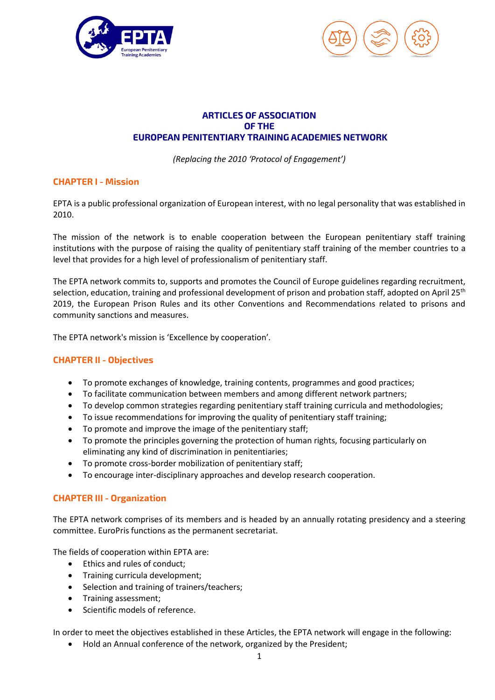



# **ARTICLES OF ASSOCIATION OF THE EUROPEAN PENITENTIARY TRAINING ACADEMIES NETWORK**

*(Replacing the 2010 'Protocol of Engagement')*

## **CHAPTER I - Mission**

EPTA is a public professional organization of European interest, with no legal personality that was established in 2010.

The mission of the network is to enable cooperation between the European penitentiary staff training institutions with the purpose of raising the quality of penitentiary staff training of the member countries to a level that provides for a high level of professionalism of penitentiary staff.

The EPTA network commits to, supports and promotes the Council of Europe guidelines regarding recruitment, selection, education, training and professional development of prison and probation staff, adopted on April 25<sup>th</sup> 2019, the European Prison Rules and its other Conventions and Recommendations related to prisons and community sanctions and measures.

The EPTA network's mission is 'Excellence by cooperation'*.*

## **CHAPTER II - Objectives**

- To promote exchanges of knowledge, training contents, programmes and good practices;
- To facilitate communication between members and among different network partners;
- To develop common strategies regarding penitentiary staff training curricula and methodologies;
- To issue recommendations for improving the quality of penitentiary staff training;
- To promote and improve the image of the penitentiary staff;
- To promote the principles governing the protection of human rights, focusing particularly on eliminating any kind of discrimination in penitentiaries;
- To promote cross-border mobilization of penitentiary staff;
- To encourage inter-disciplinary approaches and develop research cooperation.

## **CHAPTER III - Organization**

The EPTA network comprises of its members and is headed by an annually rotating presidency and a steering committee. EuroPris functions as the permanent secretariat.

The fields of cooperation within EPTA are:

- Ethics and rules of conduct;
- Training curricula development;
- Selection and training of trainers/teachers;
- Training assessment;
- Scientific models of reference.

In order to meet the objectives established in these Articles, the EPTA network will engage in the following:

Hold an Annual conference of the network, organized by the President;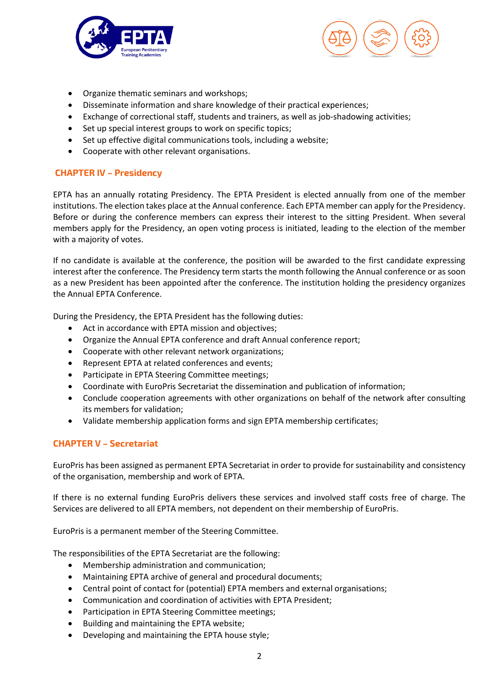



- Organize thematic seminars and workshops;
- Disseminate information and share knowledge of their practical experiences;
- Exchange of correctional staff, students and trainers, as well as job-shadowing activities;
- Set up special interest groups to work on specific topics;
- Set up effective digital communications tools, including a website;
- Cooperate with other relevant organisations.

# **CHAPTER IV – Presidency**

EPTA has an annually rotating Presidency. The EPTA President is elected annually from one of the member institutions. The election takes place at the Annual conference. Each EPTA member can apply for the Presidency. Before or during the conference members can express their interest to the sitting President. When several members apply for the Presidency, an open voting process is initiated, leading to the election of the member with a majority of votes.

If no candidate is available at the conference, the position will be awarded to the first candidate expressing interest after the conference. The Presidency term starts the month following the Annual conference or as soon as a new President has been appointed after the conference. The institution holding the presidency organizes the Annual EPTA Conference.

During the Presidency, the EPTA President has the following duties:

- Act in accordance with EPTA mission and objectives;
- Organize the Annual EPTA conference and draft Annual conference report;
- Cooperate with other relevant network organizations;
- Represent EPTA at related conferences and events;
- Participate in EPTA Steering Committee meetings;
- Coordinate with EuroPris Secretariat the dissemination and publication of information;
- Conclude cooperation agreements with other organizations on behalf of the network after consulting its members for validation;
- Validate membership application forms and sign EPTA membership certificates;

## **CHAPTER V – Secretariat**

EuroPris has been assigned as permanent EPTA Secretariat in order to provide for sustainability and consistency of the organisation, membership and work of EPTA.

If there is no external funding EuroPris delivers these services and involved staff costs free of charge. The Services are delivered to all EPTA members, not dependent on their membership of EuroPris.

EuroPris is a permanent member of the Steering Committee.

The responsibilities of the EPTA Secretariat are the following:

- Membership administration and communication;
- Maintaining EPTA archive of general and procedural documents;
- Central point of contact for (potential) EPTA members and external organisations;
- Communication and coordination of activities with EPTA President;
- Participation in EPTA Steering Committee meetings;
- Building and maintaining the EPTA website;
- Developing and maintaining the EPTA house style;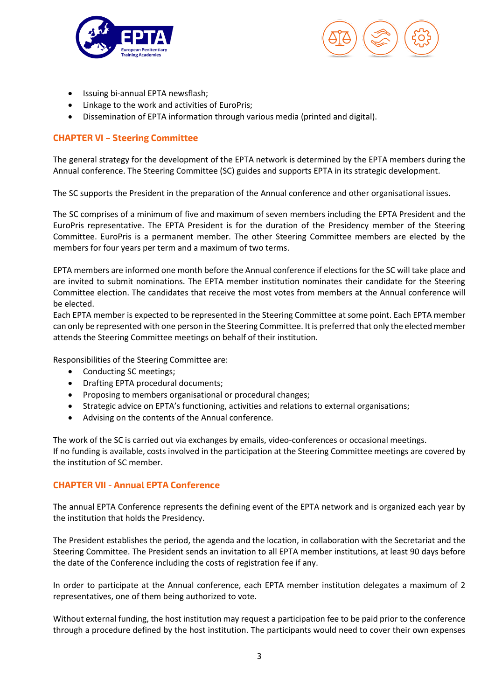



- Issuing bi-annual EPTA newsflash;
- Linkage to the work and activities of EuroPris;
- Dissemination of EPTA information through various media (printed and digital).

# **CHAPTER VI – Steering Committee**

The general strategy for the development of the EPTA network is determined by the EPTA members during the Annual conference. The Steering Committee (SC) guides and supports EPTA in its strategic development.

The SC supports the President in the preparation of the Annual conference and other organisational issues.

The SC comprises of a minimum of five and maximum of seven members including the EPTA President and the EuroPris representative. The EPTA President is for the duration of the Presidency member of the Steering Committee. EuroPris is a permanent member. The other Steering Committee members are elected by the members for four years per term and a maximum of two terms.

EPTA members are informed one month before the Annual conference if elections for the SC will take place and are invited to submit nominations. The EPTA member institution nominates their candidate for the Steering Committee election. The candidates that receive the most votes from members at the Annual conference will be elected.

Each EPTA member is expected to be represented in the Steering Committee at some point. Each EPTA member can only be represented with one person in the Steering Committee. It is preferred that only the elected member attends the Steering Committee meetings on behalf of their institution.

Responsibilities of the Steering Committee are:

- Conducting SC meetings;
- Drafting EPTA procedural documents;
- Proposing to members organisational or procedural changes;
- Strategic advice on EPTA's functioning, activities and relations to external organisations;
- Advising on the contents of the Annual conference.

The work of the SC is carried out via exchanges by emails, video-conferences or occasional meetings. If no funding is available, costs involved in the participation at the Steering Committee meetings are covered by the institution of SC member.

#### **CHAPTER VII - Annual EPTA Conference**

The annual EPTA Conference represents the defining event of the EPTA network and is organized each year by the institution that holds the Presidency.

The President establishes the period, the agenda and the location, in collaboration with the Secretariat and the Steering Committee. The President sends an invitation to all EPTA member institutions, at least 90 days before the date of the Conference including the costs of registration fee if any.

In order to participate at the Annual conference, each EPTA member institution delegates a maximum of 2 representatives, one of them being authorized to vote.

Without external funding, the host institution may request a participation fee to be paid prior to the conference through a procedure defined by the host institution. The participants would need to cover their own expenses